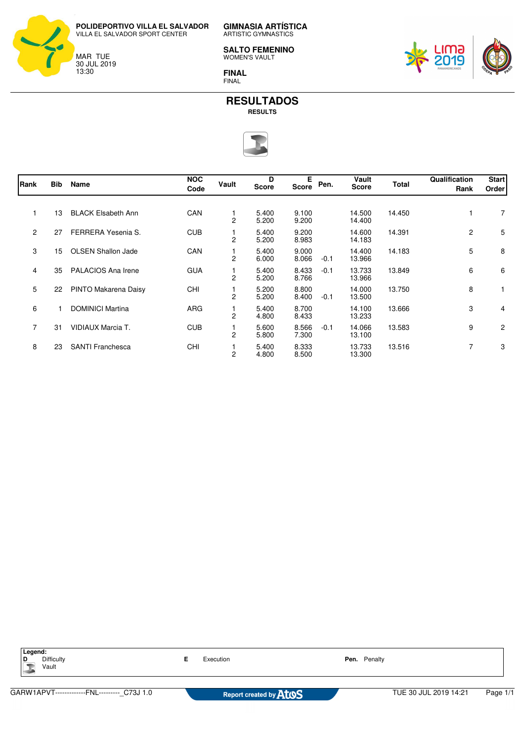

ARTISTIC GYMNASTICS

**GIMNASIA ARTÍSTICA**

**SALTO FEMENINO** WOMEN'S VAULT

**FINAL** FINAL





| Rank           | <b>Bib</b> | Name                      | <b>NOC</b><br>Code | Vault          | D<br><b>Score</b> | Е<br>Score     | Pen.   | Vault<br><b>Score</b> | <b>Total</b> | Qualification<br>Rank | <b>Start</b><br>Order |
|----------------|------------|---------------------------|--------------------|----------------|-------------------|----------------|--------|-----------------------|--------------|-----------------------|-----------------------|
|                | 13         | <b>BLACK Elsabeth Ann</b> | CAN                | 2              | 5.400<br>5.200    | 9.100<br>9.200 |        | 14.500<br>14.400      | 14.450       |                       | 7                     |
| $\overline{2}$ | 27         | FERRERA Yesenia S.        | <b>CUB</b>         | 2              | 5.400<br>5.200    | 9.200<br>8.983 |        | 14.600<br>14.183      | 14.391       | $\mathbf{2}$          | 5                     |
| 3              | 15         | <b>OLSEN Shallon Jade</b> | CAN                | 2              | 5.400<br>6.000    | 9.000<br>8.066 | $-0.1$ | 14.400<br>13.966      | 14.183       | 5                     | 8                     |
| 4              | 35         | PALACIOS Ana Irene        | <b>GUA</b>         | $\overline{2}$ | 5.400<br>5.200    | 8.433<br>8.766 | $-0.1$ | 13.733<br>13.966      | 13.849       | 6                     | 6                     |
| 5              | 22         | PINTO Makarena Daisy      | <b>CHI</b>         | $\overline{2}$ | 5.200<br>5.200    | 8.800<br>8.400 | $-0.1$ | 14.000<br>13.500      | 13.750       | 8                     |                       |
| 6              |            | <b>DOMINICI Martina</b>   | ARG                | $\overline{2}$ | 5.400<br>4.800    | 8.700<br>8.433 |        | 14.100<br>13.233      | 13.666       | 3                     | 4                     |
| $\overline{7}$ | 31         | VIDIAUX Marcia T.         | <b>CUB</b>         | $\overline{c}$ | 5.600<br>5.800    | 8.566<br>7.300 | $-0.1$ | 14.066<br>13.100      | 13.583       | 9                     | 2                     |
| 8              | 23         | <b>SANTI Franchesca</b>   | <b>CHI</b>         | 2              | 5.400<br>4.800    | 8.333<br>8.500 |        | 13.733<br>13.300      | 13.516       | 7                     | 3                     |

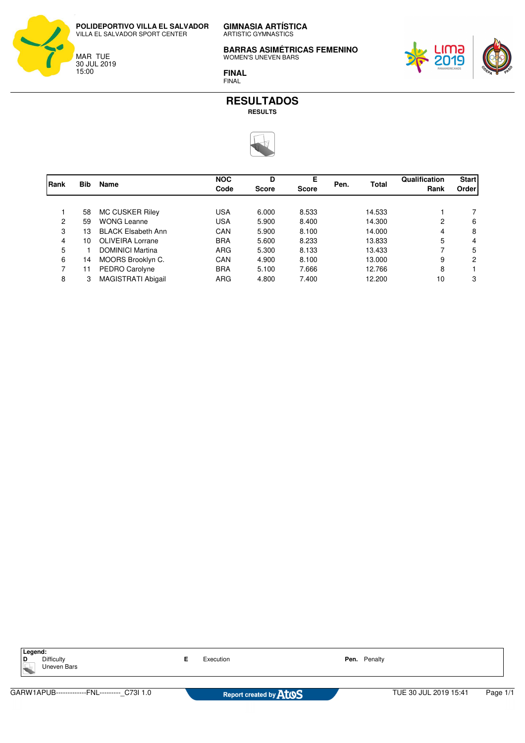

**GIMNASIA ARTÍSTICA** ARTISTIC GYMNASTICS

**BARRAS ASIMÉTRICAS FEMENINO** WOMEN'S UNEVEN BARS



**FINAL** FINAL



| Rank | <b>Bib</b> | <b>Name</b>               | <b>NOC</b><br>Code | D<br><b>Score</b> | Е<br><b>Score</b> | Pen. | <b>Total</b> | Qualification<br>Rank | <b>Start</b><br>Order |
|------|------------|---------------------------|--------------------|-------------------|-------------------|------|--------------|-----------------------|-----------------------|
|      |            |                           |                    |                   |                   |      |              |                       |                       |
|      | 58         | MC CUSKER Riley           | <b>USA</b>         | 6.000             | 8.533             |      | 14.533       |                       |                       |
| 2    | 59         | <b>WONG Leanne</b>        | <b>USA</b>         | 5.900             | 8.400             |      | 14.300       | 2                     | 6                     |
| 3    | 13         | <b>BLACK Elsabeth Ann</b> | CAN                | 5.900             | 8.100             |      | 14.000       | 4                     | 8                     |
| 4    | 10         | <b>OLIVEIRA Lorrane</b>   | <b>BRA</b>         | 5.600             | 8.233             |      | 13.833       | 5                     | 4                     |
| 5    |            | <b>DOMINICI Martina</b>   | <b>ARG</b>         | 5.300             | 8.133             |      | 13.433       |                       | 5                     |
| 6    | 14         | MOORS Brooklyn C.         | CAN                | 4.900             | 8.100             |      | 13.000       | 9                     | 2                     |
| 7    | 11         | PEDRO Carolyne            | <b>BRA</b>         | 5.100             | 7.666             |      | 12.766       | 8                     |                       |
| 8    | 3          | <b>MAGISTRATI Abigail</b> | <b>ARG</b>         | 4.800             | 7.400             |      | 12.200       | 10                    | 3                     |

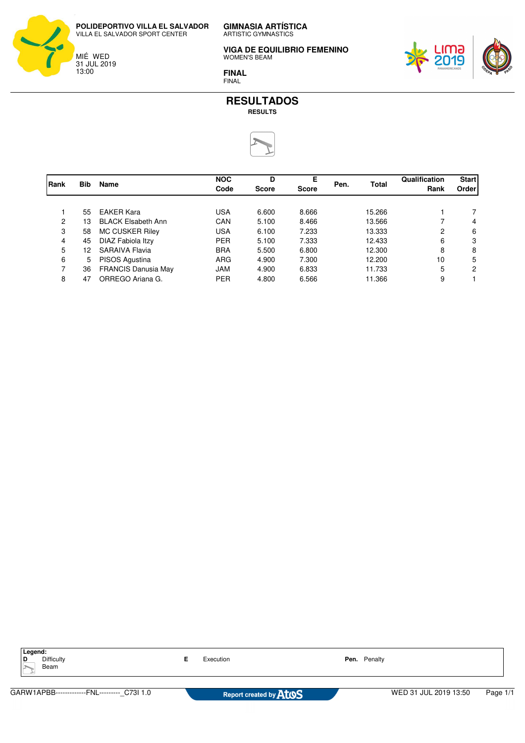

**GIMNASIA ARTÍSTICA** ARTISTIC GYMNASTICS

**VIGA DE EQUILIBRIO FEMENINO** WOMEN'S BEAM



**FINAL** FINAL



| Rank | <b>Bib</b> | <b>Name</b>                | <b>NOC</b><br>Code | D<br>Score | Е<br><b>Score</b> | Pen. | <b>Total</b> | Qualification<br>Rank | <b>Start</b><br>Order |
|------|------------|----------------------------|--------------------|------------|-------------------|------|--------------|-----------------------|-----------------------|
|      |            |                            |                    |            |                   |      |              |                       |                       |
|      | 55         | <b>EAKER Kara</b>          | USA                | 6.600      | 8.666             |      | 15.266       |                       |                       |
| 2    | 13         | <b>BLACK Elsabeth Ann</b>  | CAN                | 5.100      | 8.466             |      | 13.566       |                       | 4                     |
| 3    | 58         | MC CUSKER Riley            | <b>USA</b>         | 6.100      | 7.233             |      | 13.333       | 2                     | 6                     |
| 4    | 45         | DIAZ Fabiola Itzy          | <b>PER</b>         | 5.100      | 7.333             |      | 12.433       | 6                     | 3                     |
| 5    | 12         | SARAIVA Flavia             | <b>BRA</b>         | 5.500      | 6.800             |      | 12.300       | 8                     | 8                     |
| 6    | 5.         | PISOS Agustina             | <b>ARG</b>         | 4.900      | 7.300             |      | 12.200       | 10                    | 5                     |
| 7    | 36         | <b>FRANCIS Danusia May</b> | <b>JAM</b>         | 4.900      | 6.833             |      | 11.733       | 5                     | 2                     |
| 8    | 47         | ORREGO Ariana G.           | <b>PER</b>         | 4.800      | 6.566             |      | 11.366       | 9                     |                       |